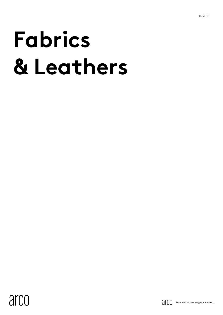# **Fabrics & Leathers**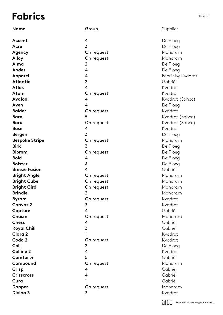# **Fabrics**

| <b>Name</b>           | <u>Group</u>            |
|-----------------------|-------------------------|
| Accent                | 4                       |
| Acre                  | 3                       |
| Agency                | On request              |
| <b>Alloy</b>          | On request              |
| Alma                  | $\overline{2}$          |
| <b>Andes</b>          | 4                       |
| <b>Apparel</b>        | $\overline{\mathbf{4}}$ |
| <b>Atlantic</b>       | $\overline{2}$          |
| Atlas                 | 4                       |
| Atom                  | On request              |
| <b>Avalon</b>         | $\overline{\mathbf{4}}$ |
| Aven                  | 4                       |
| <b>Balder</b>         | On request              |
| <b>Bara</b>           | 5                       |
| <b>Baru</b>           | On request              |
| <b>Basel</b>          | $\overline{\mathbf{4}}$ |
| <b>Bergen</b>         | $\overline{3}$          |
| <b>Bespoke Stripe</b> | On request              |
| <b>Birk</b>           | $\overline{3}$          |
| <b>Blomm</b>          | On request              |
| <b>Bold</b>           | 4                       |
| <b>Bolster</b>        | 3                       |
| <b>Breeze Fusion</b>  | 4                       |
| <b>Bright Angle</b>   | On request              |
| <b>Bright Cube</b>    | On request              |
| <b>Bright Gird</b>    | On request              |
| <b>Brindle</b>        | $\overline{2}$          |
| <b>Byram</b>          | On request              |
| <b>Canvas 2</b>       | 3                       |
| Capture               | 4                       |
| Chasm                 | On request              |
| <b>Chess</b>          | 4                       |
| <b>Royal Chili</b>    | 3                       |
| <b>Clara 2</b>        | 1                       |
| Coda 2                | On request              |
| Coll                  | $\overline{2}$          |
| <b>Colline 2</b>      | 4                       |
| Comfort+              | 5                       |
| Compound              | On request              |
| Crisp                 | 4                       |
| <b>Crisscross</b>     | 4                       |
| Cura                  | 1                       |
| <b>Dapper</b>         | On request              |
| Divina 3              | 3                       |

**Supplier** 

De Ploeg De Ploeg Maharam Maharam De Ploeg De Ploeg Febrik by Kvadrat Gabriël Kvadrat Kvadrat Kvadrat (Sahco) De Ploeg Kvadrat Kvadrat (Sahco ) Kvadrat (Sahco ) Kvadrat De Ploeg Maharam De Ploeg De Ploeg De Ploeg De Ploeg Gabriël Maharam Maharam Maharam Maharam Kvadrat Kvadrat Gabriël Maharam Gabriël Gabriël Kvadrat Kvadrat De Ploeg Kvadrat Gabriël Maharam Gabriël Gabriël Gabriël Maharam Kvadrat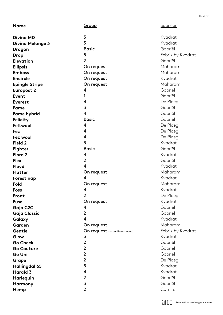| <u>Name</u>           | Group                           | <b>Supplier</b>   |
|-----------------------|---------------------------------|-------------------|
| <b>Divina MD</b>      | 3                               | Kvadrat           |
| Divina Melange 3      | 3                               | Kvadrat           |
| <b>Dragon</b>         | <b>Basic</b>                    | Gabriël           |
| <b>Drop</b>           | 5                               | Febrik by Kvadrat |
| <b>Elevation</b>      | $\overline{2}$                  | Gabriël           |
| <b>Ellipsis</b>       | On request                      | Maharam           |
| <b>Emboss</b>         | On request                      | Maharam           |
| <b>Encircle</b>       | On request                      | Kvadrat           |
| <b>Epingle Stripe</b> | On request                      | Maharam           |
| <b>Europost 2</b>     | 4                               | Gabriël           |
| <b>Event</b>          | 1                               | Gabriël           |
| <b>Everest</b>        | 4                               | De Ploeg          |
| Fame                  | 3                               | Gabriël           |
| <b>Fame hybrid</b>    | 4                               | Gabriël           |
| Felicity              | <b>Basic</b>                    | Gabriël           |
| Feltwool              | 4                               | De Ploeg          |
| <b>Fez</b>            | 4                               | De Ploeg          |
| Fez wool              | 4                               | De Ploeg          |
| Field 2               | 3                               | Kvadrat           |
| <b>Fighter</b>        | <b>Basic</b>                    | Gabriël           |
| Fiord 2               | 4                               | Kvadrat           |
| <b>Flex</b>           | $\overline{2}$                  | Gabriël           |
| Floyd                 | 4                               | Kvadrat           |
| <b>Flutter</b>        | On request                      | Maharam           |
| Forest nap            | 4                               | Kvadrat           |
| Fold                  | On request                      | Maharam           |
| Foss                  | 4                               | Kvadrat           |
| Front                 | $\overline{2}$                  | De Ploeg          |
| <b>Fuse</b>           | On request                      | Kvadrat           |
| Gaja C2C              | 4                               | Gabriël           |
| Gaja Classic          | $\overline{2}$                  | Gabriël           |
| Galaxy                | 4                               | Kvadrat           |
| Garden                | On request                      | Maharam           |
| Gentle                | On request (to be discontinued) | Febrik by Kvadrat |
| Glow                  | 3                               | Kvadrat           |
| <b>Go Check</b>       | $\overline{2}$                  | Gabriël           |
| <b>Go Couture</b>     | $\overline{2}$                  | Gabriël           |
| Go Uni                | $\overline{2}$                  | Gabriël           |
| <b>Grape</b>          | $\overline{2}$                  | De Ploeg          |
| Hallingdal 65         | $\overline{3}$                  | Kvadrat           |
| <b>Harald 3</b>       | 4                               | Kvadrat           |
| Harlequin             | $\overline{\mathbf{c}}$         | Gabriël           |
| Harmony               | $\overline{3}$                  | Gabriël           |
| Hemp                  | $\overline{2}$                  | Camira            |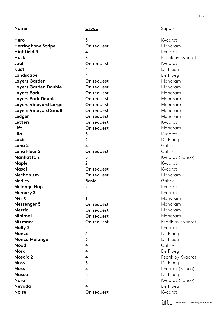#### 11 -2021

#### **Name**

**Hero Herringbone Stripe Highfield 3 Husk Jaali Kust Landscape Layers Garden Layers Garden Double Layers Park Layers Park Double Layers Vineyard Large Layers Vineyard Small Ledger Letters Lift Lila Lucir Luna 2 Luna Fleur 2 Manhattan Maple Masai Mechanism Medley Melange Nap Memory 2 Merit Messenger 5 Metric Minimal Mizmaze Molly 2 Monza Monza Melange Mood Mosa Mosaic 2 Moss Moss Musco Nara Nevada Noise**

#### **Group**

5 On request  $\frac{4}{5}$ On request 4<br>4 On request On request On request On request On request On request On request On request On request<br>5<br>2<br>4 On request  $\frac{5}{2}$ On request On request **Basic**  $\overline{2}$ 2<br>4<br>1  $\overline{\mathbf{4}}$  $\mathbf{1}$ On request On request On request On request<br>4<br>3<br>3<br>4<br>4<br>5<br>5<br>5<br>5<br>5<br>5<br>4

On request

**Supplier** 

Kvadrat Maharam Kvadrat Febrik by Kvadrat Kvadrat De Ploeg De Ploeg Maharam Maharam Maharam Maharam Maharam Maharam Maharam Kvadrat Maharam Kvadrat De Ploeg Gabriël Gabriël Kvadrat (Sahco) Kvadrat Kvadrat Maharam Gabriël Kvadrat Kvadrat Maharam Maharam Maharam Maharam Febrik by Kvadrat Kvadrat De Ploeg De Ploeg Gabriël De Ploeg Febrik by Kvadrat De Ploeg Kvadrat (Sahco) De Ploeg Kvadrat (Sahco) De Ploeg Kvadrat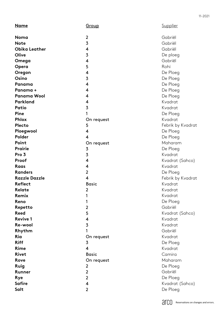| <b>Name</b>          | Group                   | <b>Supplier</b>   |
|----------------------|-------------------------|-------------------|
|                      |                         |                   |
| Noma                 | $\boldsymbol{2}$        | Gabriël           |
| <b>Note</b>          | 3                       | Gabriël           |
| <b>Obika Leather</b> | 4                       | Gabriël           |
| Olive                | $\overline{\mathbf{3}}$ | De ploeg          |
| Omega                | 4                       | Gabriël           |
| Opera                | 5                       | Rohi              |
| Oregon               | 4                       | De Ploeg          |
| Osino                | $\overline{\mathbf{3}}$ | De Ploeg          |
| Panama               | 4                       | De Ploeg          |
| Panama +             | 4                       | De Ploeg          |
| Panama Wool          | 4                       | De Ploeg          |
| Parkland             | 4                       | Kvadrat           |
| Patio                | $\overline{3}$          | Kvadrat           |
| <b>Pine</b>          | 1                       | De Ploeg          |
| <b>Phlox</b>         | On request              | Kvadrat           |
| Plecto               | 5                       | Febrik by Kvadrat |
| Ploegwool            | 4                       | De Ploeg          |
| Polder               | 4                       | De Ploeg          |
| Point                | On request              | Maharam           |
| <b>Prairie</b>       | 3                       | De Ploeg          |
| Pro 3                | 3                       | Kvadrat           |
| Proof                | 4                       | Kvadrat (Sahco)   |
| Raas                 | 4                       | Kvadrat           |
| <b>Randers</b>       | $\overline{2}$          | De Ploeg          |
| <b>Razzle Dazzle</b> | 4                       | Febrik by Kvadrat |
| <b>Reflect</b>       | <b>Basic</b>            | Kvadrat           |
| Relate               | $\mathbf 2$             | Kvadrat           |
| Remix                | 1                       | Kvadrat           |
| Reno                 | 1                       | De Ploeg          |
| Repetto              | $\overline{2}$          | Gabriël           |
| <b>Reed</b>          | 5                       | Kvadrat (Sahco)   |
| <b>Revive 1</b>      | 4                       | Kvadrat           |
| Re-wool              | 3                       | Kvadrat           |
| Rhythm               |                         | Gabriël           |
| Ria                  | On request              | Kvadrat           |
| <b>Riff</b>          | 3                       | De Ploeg          |
| Rime                 | 4                       | Kvadrat           |
| <b>Rivet</b>         | <b>Basic</b>            | Camira            |
| Rove                 | On request              | Maharam           |
| Ruig                 | 2                       | De Ploeg          |
| <b>Runner</b>        | $\overline{2}$          | Gabriël           |
| <b>Rye</b>           | $\overline{2}$          | De Ploeg          |
| <b>Safire</b>        | 4                       | Kvadrat (Sahco)   |
| Salt                 | $\overline{2}$          | De Ploeg          |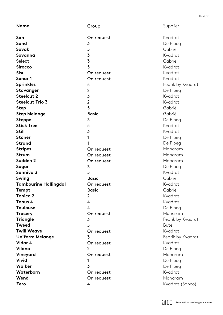| <b>Name</b>                  | Group                   | Supplier          |
|------------------------------|-------------------------|-------------------|
| San                          | On request              | Kvadrat           |
| Sand                         | 3                       | De Ploeg          |
| Savak                        | 5                       | Gabriël           |
| Savanna                      | $\overline{\mathbf{3}}$ | Kvadrat           |
| <b>Select</b>                | 3                       | Gabriël           |
| <b>Sirocco</b>               | 5                       | Kvadrat           |
| <b>Sisu</b>                  | On request              | Kvadrat           |
| Sonar 1                      | On request              | Kvadrat           |
| <b>Sprinkles</b>             | 5                       | Febrik by Kvadrat |
| Stavanger                    | $\overline{2}$          | De Ploeg          |
| <b>Steelcut 2</b>            | 3                       | Kvadrat           |
| <b>Steelcut Trio 3</b>       | $\overline{2}$          | Kvadrat           |
| <b>Step</b>                  | 5                       | Gabriël           |
| <b>Step Melange</b>          | <b>Basic</b>            | Gabriël           |
| <b>Steppe</b>                | 3                       | De Ploeg          |
| <b>Stick tree</b>            | 5                       | Kvadrat           |
| <b>Still</b>                 | 3                       | Kvadrat           |
| <b>Stoner</b>                | 1                       | De Ploeg          |
| <b>Strand</b>                |                         | De Ploeg          |
| <b>Stripes</b>               | On request              | Maharam           |
| <b>Strum</b>                 | On request              | Maharam           |
| Sudden <sub>2</sub>          | On request              | Maharam           |
| Sugar                        | 3                       | De Ploeg          |
| Sunniva 3                    | 5                       | Kvadrat           |
| Swing                        | <b>Basic</b>            | Gabriël           |
| <b>Tambourine Hallingdal</b> | On request              | Kvadrat           |
| Tempt                        | <b>Basic</b>            | Gabriël           |
| <b>Tonica 2</b>              | $\overline{2}$          | Kvadrat           |
| Tonus 4                      | 4                       | Kvadrat           |
| <b>Toulouse</b>              | 4                       | De Ploeg          |
| <b>Tracery</b>               | On request              | Maharam           |
| <b>Triangle</b>              | 3                       | Febrik by Kvadrat |
| <b>Tweed</b>                 | 5                       | <b>Bute</b>       |
| <b>Twill Weave</b>           | On request              | Kvadrat           |
| <b>Uniform Melange</b>       | 3                       | Febrik by Kvadrat |
| Vidar 4                      | On request              | Kvadrat           |
| Vilano                       | 2                       | De Ploeg          |
| Vineyard                     | On request              | Maharam           |
| <b>Vivid</b>                 |                         | De Ploeg          |
| Walker                       | 3                       | De Ploeg          |
| Waterborn                    | On request              | Kvadrat           |
| Wend                         | On request              | Maharam           |
| Zero                         | 4                       | Kvadrat (Sahco)   |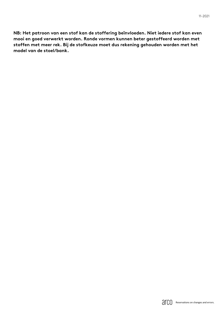**NB: Het patroon van een stof kan de stoffering beïnvloeden. Niet iedere stof kan even mooi en goed verwerkt worden. Ronde vormen kunnen beter gestoffeerd worden met stoffen met meer rek. Bij de stofkeuze moet dus rekening gehouden worden met het model van de stoel/bank.**